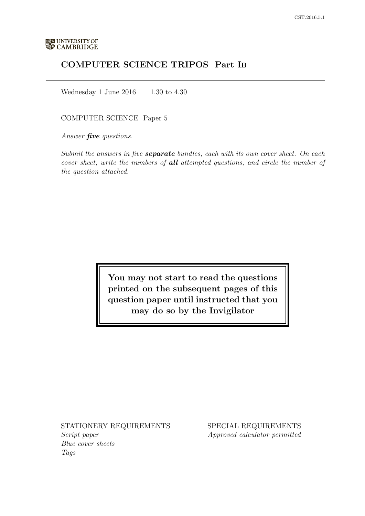# COMPUTER SCIENCE TRIPOS Part IB

Wednesday 1 June 2016  $1.30$  to 4.30

COMPUTER SCIENCE Paper 5

Answer *five* questions.

Submit the answers in five **separate** bundles, each with its own cover sheet. On each cover sheet, write the numbers of **all** attempted questions, and circle the number of the question attached.

> You may not start to read the questions printed on the subsequent pages of this question paper until instructed that you may do so by the Invigilator

STATIONERY REQUIREMENTS Script paper Blue cover sheets

Tags

SPECIAL REQUIREMENTS Approved calculator permitted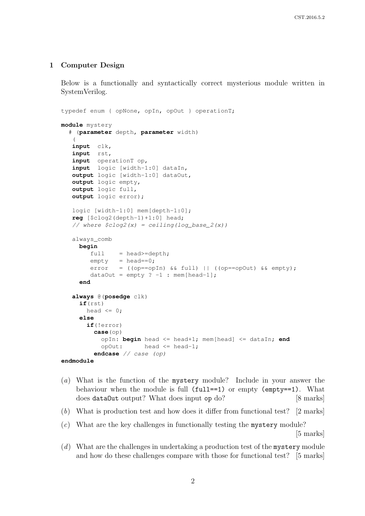#### 1 Computer Design

Below is a functionally and syntactically correct mysterious module written in SystemVerilog.

```
typedef enum { opNone, opIn, opOut } operationT;
module mystery
  # (parameter depth, parameter width)
    \left(input clk,
   input rst,
   input operationT op,
   input logic [width-1:0] dataIn,
   output logic [width-1:0] dataOut,
   output logic empty,
   output logic full,
   output logic error);
   logic [width-1:0] mem[depth-1:0];
   reg [$clog2(depth-1)+1:0] head;
   // where \frac{\zeta}{\zeta} / \zeta / \zeta / \zeta / \zeta / \zeta / \zeta / \zeta / \zeta / \zeta / \zeta / \zeta / \zeta / \zeta / \zeta / \zeta / \zeta / \zeta / \zeta / \zeta / \zeta / \zeta / \zeta / \zeta / \zeta / \zetaalways_comb
      begin
          full = head \geq -depth;empty = head==0;error = ((op==opIn) && full) || ((op==opOut) && empty);
          dataOut = empty ? -1 : mem[head-1];end
   always @(posedge clk)
      if(rst)
        head \leq 0;
      else
         if(!error)
           case(op)
              opIn: begin head <= head+1; mem[head] <= dataIn; end
              opOut: head <= head-1;
           endcase // case (op)
endmodule
```
- (a) What is the function of the mystery module? Include in your answer the behaviour when the module is full  $(full == 1)$  or empty  $(empty == 1)$ . What does dataOut output? What does input op do? [8 marks]
- (b) What is production test and how does it differ from functional test? [2 marks]
- (c) What are the key challenges in functionally testing the mystery module?

[5 marks]

 $(d)$  What are the challenges in undertaking a production test of the mystery module and how do these challenges compare with those for functional test? [5 marks]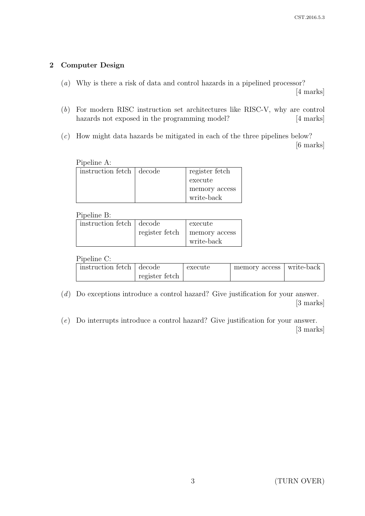## 2 Computer Design

(a) Why is there a risk of data and control hazards in a pipelined processor?

[4 marks]

- (b) For modern RISC instruction set architectures like RISC-V, why are control hazards not exposed in the programming model? [4 marks]
- (c) How might data hazards be mitigated in each of the three pipelines below? [6 marks]

| Pipeline A:                |  |                |  |  |
|----------------------------|--|----------------|--|--|
| instruction fetch   decode |  | register fetch |  |  |
|                            |  | execute        |  |  |
|                            |  | memory access  |  |  |
|                            |  | write-back     |  |  |

Pipeline B:

| instruction fetch decode |                | execute       |  |
|--------------------------|----------------|---------------|--|
|                          | register fetch | memory access |  |
|                          |                | write-back    |  |

Pipeline C:

| instruction fetch   decode |                | execute | memory access   write-back |  |
|----------------------------|----------------|---------|----------------------------|--|
|                            | register fetch |         |                            |  |

(d) Do exceptions introduce a control hazard? Give justification for your answer. [3 marks]

(e) Do interrupts introduce a control hazard? Give justification for your answer. [3 marks]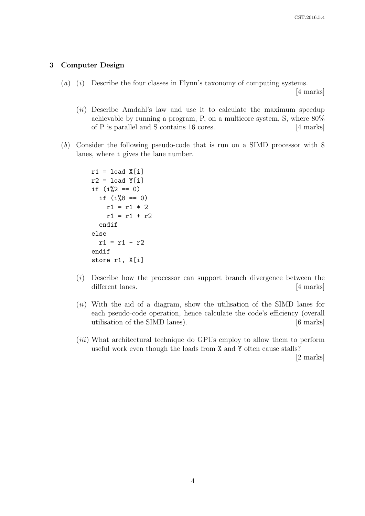#### 3 Computer Design

(a) (i) Describe the four classes in Flynn's taxonomy of computing systems.

[4 marks]

- $(ii)$  Describe Amdahl's law and use it to calculate the maximum speedup achievable by running a program, P, on a multicore system, S, where 80% of P is parallel and S contains 16 cores. [4 marks]
- (b) Consider the following pseudo-code that is run on a SIMD processor with 8 lanes, where i gives the lane number.

```
r1 = load X[i]r2 = load Y[i]if (i\frac{9}{2} == 0)if (i\%8 == 0)r1 = r1 * 2r1 = r1 + r2endif
else
  r1 = r1 - r2endif
store r1, X[i]
```
- (i) Describe how the processor can support branch divergence between the different lanes. [4 marks]
- $(ii)$  With the aid of a diagram, show the utilisation of the SIMD lanes for each pseudo-code operation, hence calculate the code's efficiency (overall utilisation of the SIMD lanes). [6 marks]
- (*iii*) What architectural technique do GPUs employ to allow them to perform useful work even though the loads from X and Y often cause stalls?

[2 marks]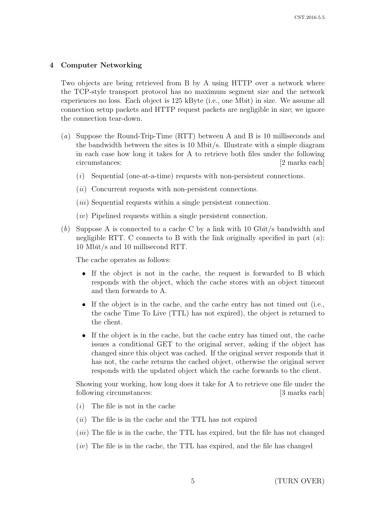## 4 Computer Networking

Two objects are being retrieved from B by A using HTTP over a network where the TCP-style transport protocol has no maximum segment size and the network experiences no loss. Each object is 125 kByte (i.e., one Mbit) in size. We assume all connection setup packets and HTTP request packets are negligible in size; we ignore the connection tear-down.

- (a) Suppose the Round-Trip-Time (RTT) between A and B is 10 milliseconds and the bandwidth between the sites is 10 Mbit/s. Illustrate with a simple diagram in each case how long it takes for A to retrieve both files under the following circumstances: [2 marks each]
	- $(i)$  Sequential (one-at-a-time) requests with non-persistent connections.
	- $(ii)$  Concurrent requests with non-persistent connections.
	- (*iii*) Sequential requests within a single persistent connection.
	- $(iv)$  Pipelined requests within a single persistent connection.
- (b) Suppose A is connected to a cache C by a link with 10 Gbit/s bandwidth and negligible RTT. C connects to B with the link originally specified in part  $(a)$ : 10 Mbit/s and 10 millisecond RTT.

The cache operates as follows:

- If the object is not in the cache, the request is forwarded to B which responds with the object, which the cache stores with an object timeout and then forwards to A.
- If the object is in the cache, and the cache entry has not timed out (i.e., the cache Time To Live (TTL) has not expired), the object is returned to the client.
- If the object is in the cache, but the cache entry has timed out, the cache issues a conditional GET to the original server, asking if the object has changed since this object was cached. If the original server responds that it has not, the cache returns the cached object, otherwise the original server responds with the updated object which the cache forwards to the client.

Showing your working, how long does it take for A to retrieve one file under the following circumstances: [3 marks each]

- $(i)$  The file is not in the cache
- $(ii)$  The file is in the cache and the TTL has not expired
- $(iii)$  The file is in the cache, the TTL has expired, but the file has not changed
- $(iv)$  The file is in the cache, the TTL has expired, and the file has changed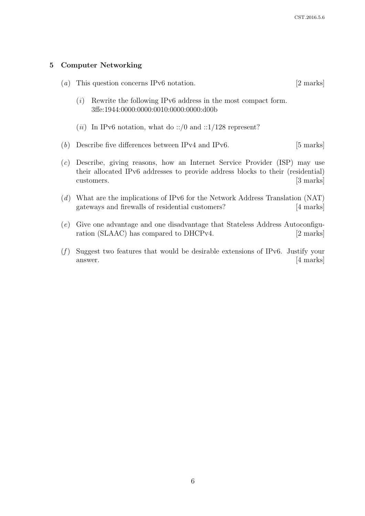### 5 Computer Networking

| $\left( a\right)$ | This question concerns IPv6 notation. |                                                                                                         |           |
|-------------------|---------------------------------------|---------------------------------------------------------------------------------------------------------|-----------|
|                   | $\left( \iota \right)$                | Rewrite the following IPv6 address in the most compact form.<br>3ffe:1944:0000:0000:0010:0000:0000:d00b |           |
|                   |                                       | ( <i>ii</i> ) In IPv6 notation, what do ::/0 and ::1/128 represent?                                     |           |
| (b)               |                                       | Describe five differences between IPv4 and IPv6.                                                        | [5 marks] |

- (c) Describe, giving reasons, how an Internet Service Provider (ISP) may use their allocated IPv6 addresses to provide address blocks to their (residential) customers. [3 marks]
- (d) What are the implications of IPv6 for the Network Address Translation (NAT) gateways and firewalls of residential customers? [4 marks]
- (e) Give one advantage and one disadvantage that Stateless Address Autoconfiguration (SLAAC) has compared to DHCPv4. [2 marks]
- $(f)$  Suggest two features that would be desirable extensions of IPv6. Justify your answer. [4 marks]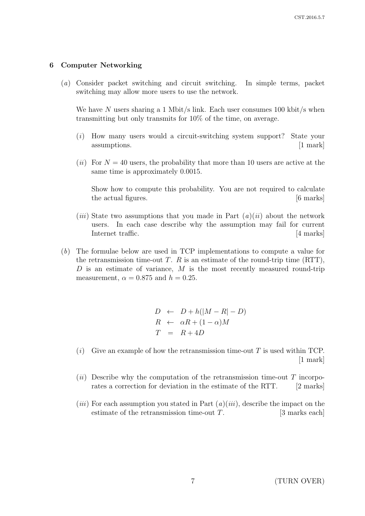#### 6 Computer Networking

(a) Consider packet switching and circuit switching. In simple terms, packet switching may allow more users to use the network.

We have N users sharing a 1 Mbit/s link. Each user consumes 100 kbit/s when transmitting but only transmits for 10% of the time, on average.

- (i) How many users would a circuit-switching system support? State your assumptions. [1 mark]
- (ii) For  $N = 40$  users, the probability that more than 10 users are active at the same time is approximately 0.0015.

Show how to compute this probability. You are not required to calculate the actual figures.  $[6 \text{ marks}]$ 

- (*iii*) State two assumptions that you made in Part  $(a)(ii)$  about the network users. In each case describe why the assumption may fail for current Internet traffic. [4 marks]
- (b) The formulae below are used in TCP implementations to compute a value for the retransmission time-out T. R is an estimate of the round-trip time  $(RTT)$ , D is an estimate of variance,  $M$  is the most recently measured round-trip measurement,  $\alpha = 0.875$  and  $h = 0.25$ .

 $D \leftarrow D + h(|M - R| - D)$  $R \leftarrow \alpha R + (1 - \alpha)M$  $T = R + 4D$ 

- $(i)$  Give an example of how the retransmission time-out T is used within TCP. [1 mark]
- (ii) Describe why the computation of the retransmission time-out  $T$  incorporates a correction for deviation in the estimate of the RTT. [2 marks]
- (*iii*) For each assumption you stated in Part  $(a)(iii)$ , describe the impact on the estimate of the retransmission time-out  $T$ . [3 marks each]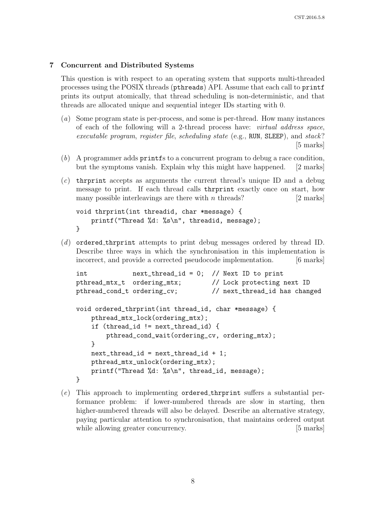## 7 Concurrent and Distributed Systems

This question is with respect to an operating system that supports multi-threaded processes using the POSIX threads (pthreads) API. Assume that each call to printf prints its output atomically, that thread scheduling is non-deterministic, and that threads are allocated unique and sequential integer IDs starting with 0.

- (a) Some program state is per-process, and some is per-thread. How many instances of each of the following will a 2-thread process have: virtual address space, executable program, register file, scheduling state (e.g., RUN, SLEEP), and stack? [5 marks]
- (b) A programmer adds printfs to a concurrent program to debug a race condition, but the symptoms vanish. Explain why this might have happened. [2 marks]
- $(c)$  the thrown thread's unique ID and a debug message to print. If each thread calls thrprint exactly once on start, how many possible interleavings are there with  $n$  threads? [2 marks]

```
void thrprint(int threadid, char *message) {
    printf("Thread %d: %s\n", threadid, message);
}
```
(d) ordered thrprint attempts to print debug messages ordered by thread ID. Describe three ways in which the synchronisation in this implementation is incorrect, and provide a corrected pseudocode implementation. [6 marks]

```
int next_thread_id = 0; // Next ID to print
pthread_mtx_t ordering_mtx; // Lock protecting next ID
pthread_cond_t ordering_cv; // next_thread_id has changed
void ordered_thrprint(int thread_id, char *message) {
    pthread_mtx_lock(ordering_mtx);
    if (thread_id != next_thread_id) {
       pthread_cond_wait(ordering_cv, ordering_mtx);
    }
    next_{\text{thread}_i} = next_{\text{thread}_i} + 1;
    pthread_mtx_unlock(ordering_mtx);
   printf("Thread %d: %s\n", thread_id, message);
}
```
 $(e)$  This approach to implementing ordered thrprint suffers a substantial performance problem: if lower-numbered threads are slow in starting, then higher-numbered threads will also be delayed. Describe an alternative strategy, paying particular attention to synchronisation, that maintains ordered output while allowing greater concurrency. [5 marks]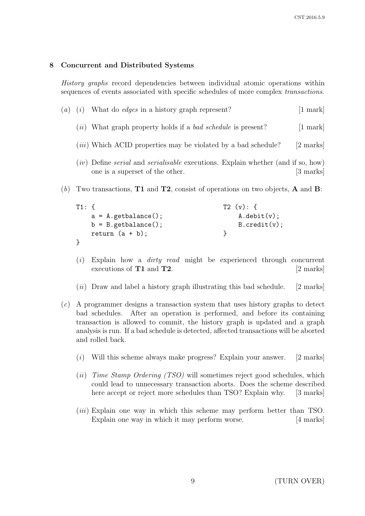## 8 Concurrent and Distributed Systems

History graphs record dependencies between individual atomic operations within sequences of events associated with specific schedules of more complex *transactions*.

| $\left( a\right)$ | (l) | What do <i>edges</i> in a history graph represent?                                                                                         | $[1 \text{ mark}]$ |
|-------------------|-----|--------------------------------------------------------------------------------------------------------------------------------------------|--------------------|
|                   |     | ( <i>ii</i> ) What graph property holds if a <i>bad schedule</i> is present?                                                               | $[1 \text{ mark}]$ |
|                   |     | <i>(iii)</i> Which ACID properties may be violated by a bad schedule?                                                                      | [2 marks]          |
|                   |     | ( <i>iv</i> ) Define <i>serial</i> and <i>serialisable</i> executions. Explain whether (and if so, how)<br>one is a superset of the other. | [3 marks]          |

(b) Two transactions, **T1** and **T2**, consist of operations on two objects, **A** and **B**:

| $T1:$ { |                        | T2(y): f      |
|---------|------------------------|---------------|
|         | $a = A.getbalance()$ ; | A.debit(v);   |
|         | $b = B.getbalance()$ ; | B. credit(v); |
|         | return $(a + b)$ ;     |               |
|         |                        |               |

- $(i)$  Explain how a *dirty read* might be experienced through concurrent executions of **T1** and **T2**. [2 marks]
- $(ii)$  Draw and label a history graph illustrating this bad schedule. [2 marks]
- (c) A programmer designs a transaction system that uses history graphs to detect bad schedules. After an operation is performed, and before its containing transaction is allowed to commit, the history graph is updated and a graph analysis is run. If a bad schedule is detected, affected transactions will be aborted and rolled back.
	- $(i)$  Will this scheme always make progress? Explain your answer. [2 marks]
	- (ii) Time Stamp Ordering  $(TSO)$  will sometimes reject good schedules, which could lead to unnecessary transaction aborts. Does the scheme described here accept or reject more schedules than TSO? Explain why. [3 marks]
	- (*iii*) Explain one way in which this scheme may perform better than TSO. Explain one way in which it may perform worse. [4 marks]